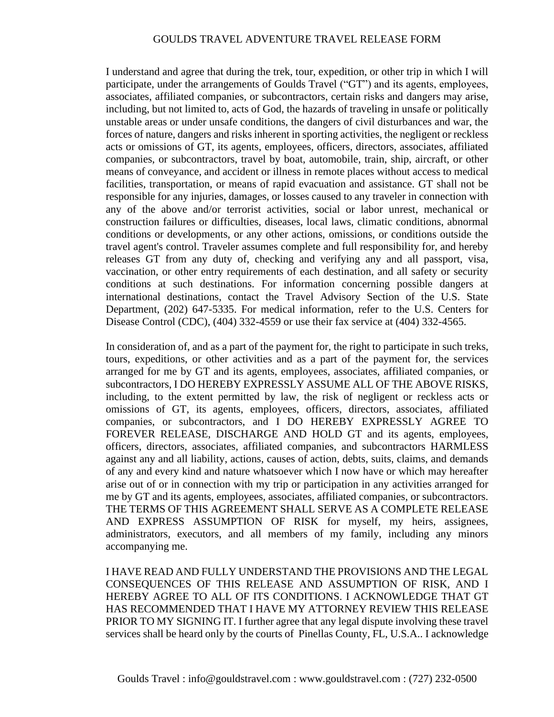## GOULDS TRAVEL ADVENTURE TRAVEL RELEASE FORM

I understand and agree that during the trek, tour, expedition, or other trip in which I will participate, under the arrangements of Goulds Travel ("GT") and its agents, employees, associates, affiliated companies, or subcontractors, certain risks and dangers may arise, including, but not limited to, acts of God, the hazards of traveling in unsafe or politically unstable areas or under unsafe conditions, the dangers of civil disturbances and war, the forces of nature, dangers and risks inherent in sporting activities, the negligent or reckless acts or omissions of GT, its agents, employees, officers, directors, associates, affiliated companies, or subcontractors, travel by boat, automobile, train, ship, aircraft, or other means of conveyance, and accident or illness in remote places without access to medical facilities, transportation, or means of rapid evacuation and assistance. GT shall not be responsible for any injuries, damages, or losses caused to any traveler in connection with any of the above and/or terrorist activities, social or labor unrest, mechanical or construction failures or difficulties, diseases, local laws, climatic conditions, abnormal conditions or developments, or any other actions, omissions, or conditions outside the travel agent's control. Traveler assumes complete and full responsibility for, and hereby releases GT from any duty of, checking and verifying any and all passport, visa, vaccination, or other entry requirements of each destination, and all safety or security conditions at such destinations. For information concerning possible dangers at international destinations, contact the Travel Advisory Section of the U.S. State Department, (202) 647-5335. For medical information, refer to the U.S. Centers for Disease Control (CDC), (404) 332-4559 or use their fax service at (404) 332-4565.

In consideration of, and as a part of the payment for, the right to participate in such treks, tours, expeditions, or other activities and as a part of the payment for, the services arranged for me by GT and its agents, employees, associates, affiliated companies, or subcontractors, I DO HEREBY EXPRESSLY ASSUME ALL OF THE ABOVE RISKS, including, to the extent permitted by law, the risk of negligent or reckless acts or omissions of GT, its agents, employees, officers, directors, associates, affiliated companies, or subcontractors, and I DO HEREBY EXPRESSLY AGREE TO FOREVER RELEASE, DISCHARGE AND HOLD GT and its agents, employees, officers, directors, associates, affiliated companies, and subcontractors HARMLESS against any and all liability, actions, causes of action, debts, suits, claims, and demands of any and every kind and nature whatsoever which I now have or which may hereafter arise out of or in connection with my trip or participation in any activities arranged for me by GT and its agents, employees, associates, affiliated companies, or subcontractors. THE TERMS OF THIS AGREEMENT SHALL SERVE AS A COMPLETE RELEASE AND EXPRESS ASSUMPTION OF RISK for myself, my heirs, assignees, administrators, executors, and all members of my family, including any minors accompanying me.

I HAVE READ AND FULLY UNDERSTAND THE PROVISIONS AND THE LEGAL CONSEQUENCES OF THIS RELEASE AND ASSUMPTION OF RISK, AND I HEREBY AGREE TO ALL OF ITS CONDITIONS. I ACKNOWLEDGE THAT GT HAS RECOMMENDED THAT I HAVE MY ATTORNEY REVIEW THIS RELEASE PRIOR TO MY SIGNING IT. I further agree that any legal dispute involving these travel services shall be heard only by the courts of Pinellas County, FL, U.S.A.. I acknowledge